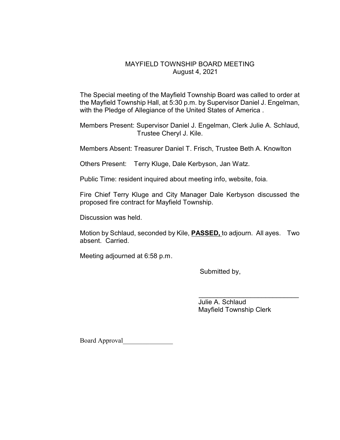## MAYFIELD TOWNSHIP BOARD MEETING August 4, 2021

The Special meeting of the Mayfield Township Board was called to order at the Mayfield Township Hall, at 5:30 p.m. by Supervisor Daniel J. Engelman, with the Pledge of Allegiance of the United States of America .

Members Present: Supervisor Daniel J. Engelman, Clerk Julie A. Schlaud, Trustee Cheryl J. Kile.

Members Absent: Treasurer Daniel T. Frisch, Trustee Beth A. Knowlton

Others Present: Terry Kluge, Dale Kerbyson, Jan Watz.

Public Time: resident inquired about meeting info, website, foia.

Fire Chief Terry Kluge and City Manager Dale Kerbyson discussed the proposed fire contract for Mayfield Township.

Discussion was held.

Motion by Schlaud, seconded by Kile, **PASSED,** to adjourn. All ayes. Two absent. Carried.

Meeting adjourned at 6:58 p.m.

Submitted by,

 $\overline{\phantom{a}}$  , and the contract of the contract of the contract of the contract of the contract of the contract of the contract of the contract of the contract of the contract of the contract of the contract of the contrac Julie A. Schlaud Mayfield Township Clerk

Board Approval\_\_\_\_\_\_\_\_\_\_\_\_\_\_\_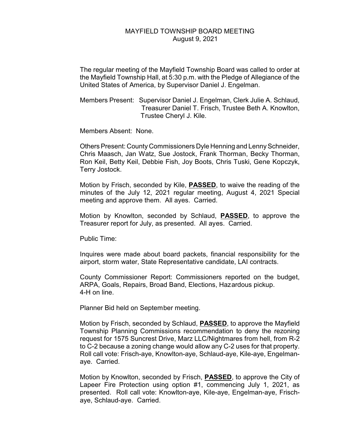## MAYFIELD TOWNSHIP BOARD MEETING August 9, 2021

The regular meeting of the Mayfield Township Board was called to order at the Mayfield Township Hall, at 5:30 p.m. with the Pledge of Allegiance of the United States of America, by Supervisor Daniel J. Engelman.

Members Present: Supervisor Daniel J. Engelman, Clerk Julie A. Schlaud, Treasurer Daniel T. Frisch, Trustee Beth A. Knowlton, Trustee Cheryl J. Kile.

Members Absent: None.

Others Present: County Commissioners Dyle Henning and Lenny Schneider, Chris Maasch, Jan Watz, Sue Jostock, Frank Thorman, Becky Thorman, Ron Keil, Betty Keil, Debbie Fish, Joy Boots, Chris Tuski, Gene Kopczyk, Terry Jostock.

Motion by Frisch, seconded by Kile, **PASSED**, to waive the reading of the minutes of the July 12, 2021 regular meeting, August 4, 2021 Special meeting and approve them. All ayes. Carried.

Motion by Knowlton, seconded by Schlaud, **PASSED**, to approve the Treasurer report for July, as presented. All ayes. Carried.

Public Time:

Inquires were made about board packets, financial responsibility for the airport, storm water, State Representative candidate, LAI contracts.

County Commissioner Report: Commissioners reported on the budget, ARPA, Goals, Repairs, Broad Band, Elections, Hazardous pickup. 4-H on line.

Planner Bid held on September meeting.

Motion by Frisch, seconded by Schlaud, **PASSED**, to approve the Mayfield Township Planning Commissions recommendation to deny the rezoning request for 1575 Suncrest Drive, Marz LLC/Nightmares from hell, from R-2 to C-2 because a zoning change would allow any C-2 uses for that property. Roll call vote: Frisch-aye, Knowlton-aye, Schlaud-aye, Kile-aye, Engelmanaye. Carried.

Motion by Knowlton, seconded by Frisch, **PASSED**, to approve the City of Lapeer Fire Protection using option #1, commencing July 1, 2021, as presented. Roll call vote: Knowlton-aye, Kile-aye, Engelman-aye, Frischaye, Schlaud-aye. Carried.